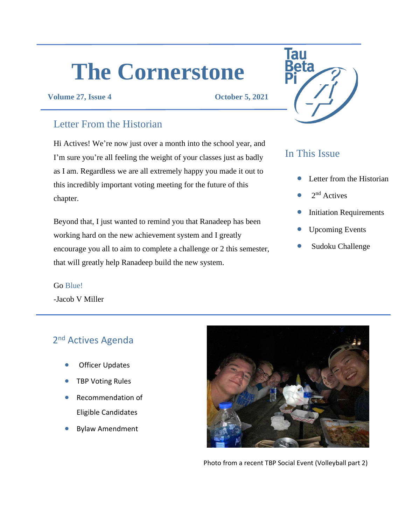# **The Cornerstone**

#### **Volume 27, Issue 4 October 5, 2021**

## Letter From the Historian

Hi Actives! We're now just over a month into the school year, and I'm sure you're all feeling the weight of your classes just as badly as I am. Regardless we are all extremely happy you made it out to this incredibly important voting meeting for the future of this chapter.

Beyond that, I just wanted to remind you that Ranadeep has been working hard on the new achievement system and I greatly encourage you all to aim to complete a challenge or 2 this semester, that will greatly help Ranadeep build the new system.

# **Tau**

# In This Issue

- Letter from the Historian
- $2<sup>nd</sup>$  Actives
- **Initiation Requirements**
- Upcoming Events
- Sudoku Challenge

# Go Blue!

-Jacob V Miller

# 2<sup>nd</sup> Actives Agenda

- **Officer Updates**
- **TBP Voting Rules**
- Recommendation of Eligible Candidates
- Bylaw Amendment



Photo from a recent TBP Social Event (Volleyball part 2)